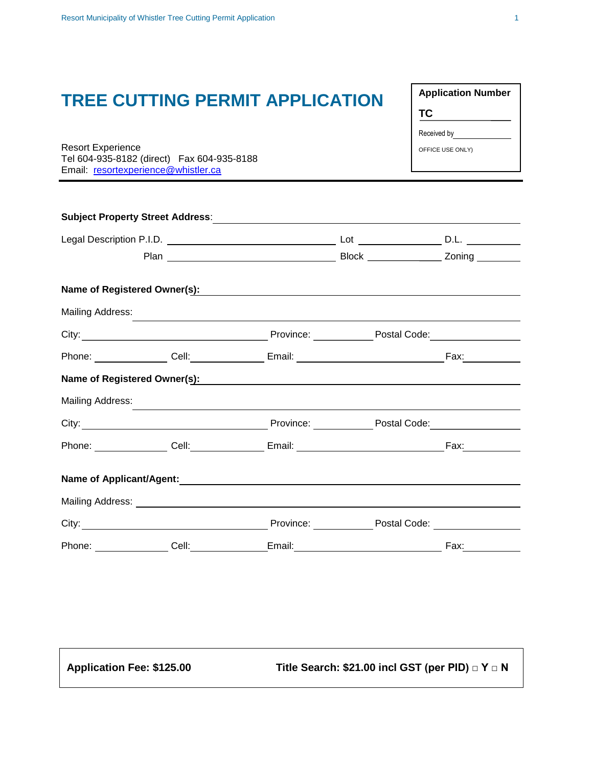Resort Experience Tel 604-935-8182 (direct) Fax 604-935-8188 Email: [resortexperience@whistler.ca](mailto:resortexperience@whistler.ca)

| Mailing Address: | ,我们也不会有什么。""我们的人,我们也不会有什么?""我们的人,我们也不会有什么?""我们的人,我们也不会有什么?""我们的人,我们也不会有什么?""我们的人 |                                                                                                                                                                                                                                |      |
|------------------|----------------------------------------------------------------------------------|--------------------------------------------------------------------------------------------------------------------------------------------------------------------------------------------------------------------------------|------|
|                  |                                                                                  |                                                                                                                                                                                                                                |      |
|                  |                                                                                  |                                                                                                                                                                                                                                |      |
|                  |                                                                                  | Name of Registered Owner(s): Manual Community Community Community Community Community Community Community Comm                                                                                                                 |      |
| Mailing Address: |                                                                                  |                                                                                                                                                                                                                                |      |
|                  |                                                                                  |                                                                                                                                                                                                                                |      |
|                  |                                                                                  |                                                                                                                                                                                                                                |      |
|                  |                                                                                  |                                                                                                                                                                                                                                |      |
|                  |                                                                                  |                                                                                                                                                                                                                                |      |
|                  |                                                                                  | City: City: City: City: City: City: City: City: City: City: Content Code: Content Code: Code: Code: Code: Code: Code: Code: Code: Code: Code: Code: Code: Code: Code: Code: Code: Code: Code: Code: Code: Code: Code: Code: Co |      |
|                  |                                                                                  | Phone: ________________Cell:_________________Email:_____________________________                                                                                                                                               | Fax: |

**Application Number TC** Received by OFFICE USE ONLY)

**Application Fee: \$125.00 Title Search: \$21.00 incl GST (per PID) □ Y □ N**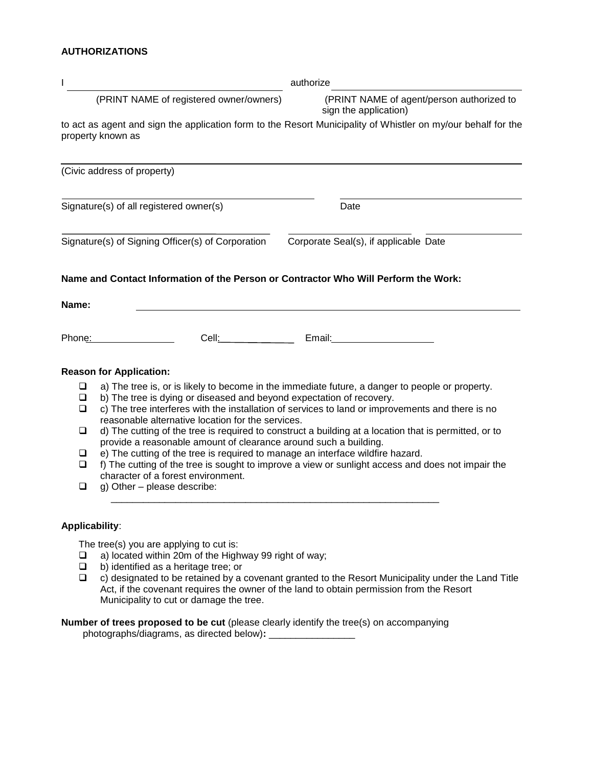## **AUTHORIZATIONS**

| I                                                 |                                                                                                                                                                                                                                                                                                                                                                                        | authorize                                                                                                                                                                                                                                                                                                                                                                                                         |  |
|---------------------------------------------------|----------------------------------------------------------------------------------------------------------------------------------------------------------------------------------------------------------------------------------------------------------------------------------------------------------------------------------------------------------------------------------------|-------------------------------------------------------------------------------------------------------------------------------------------------------------------------------------------------------------------------------------------------------------------------------------------------------------------------------------------------------------------------------------------------------------------|--|
| (PRINT NAME of registered owner/owners)           |                                                                                                                                                                                                                                                                                                                                                                                        | (PRINT NAME of agent/person authorized to<br>sign the application)                                                                                                                                                                                                                                                                                                                                                |  |
|                                                   | property known as                                                                                                                                                                                                                                                                                                                                                                      | to act as agent and sign the application form to the Resort Municipality of Whistler on my/our behalf for the                                                                                                                                                                                                                                                                                                     |  |
|                                                   | (Civic address of property)                                                                                                                                                                                                                                                                                                                                                            |                                                                                                                                                                                                                                                                                                                                                                                                                   |  |
| Signature(s) of all registered owner(s)           |                                                                                                                                                                                                                                                                                                                                                                                        | Date                                                                                                                                                                                                                                                                                                                                                                                                              |  |
| Signature(s) of Signing Officer(s) of Corporation |                                                                                                                                                                                                                                                                                                                                                                                        | Corporate Seal(s), if applicable Date                                                                                                                                                                                                                                                                                                                                                                             |  |
| Name:                                             | Name and Contact Information of the Person or Contractor Who Will Perform the Work:                                                                                                                                                                                                                                                                                                    |                                                                                                                                                                                                                                                                                                                                                                                                                   |  |
| Phone:                                            |                                                                                                                                                                                                                                                                                                                                                                                        | Cell: Email: Email: Email: Email: Email: Email: Email: Email: Email: Email: Email: Email: Email: Email: Email: Email: Email: Email: Email: Email: Email: Email: Email: Email: Email: Email: Email: Email: Email: Email: Email:                                                                                                                                                                                    |  |
| ⊔<br>❏<br>❏<br>❏<br>❏<br>$\Box$<br>$\Box$         | <b>Reason for Application:</b><br>b) The tree is dying or diseased and beyond expectation of recovery.<br>reasonable alternative location for the services.<br>provide a reasonable amount of clearance around such a building.<br>e) The cutting of the tree is required to manage an interface wildfire hazard.<br>character of a forest environment.<br>g) Other - please describe: | a) The tree is, or is likely to become in the immediate future, a danger to people or property.<br>c) The tree interferes with the installation of services to land or improvements and there is no<br>d) The cutting of the tree is required to construct a building at a location that is permitted, or to<br>f) The cutting of the tree is sought to improve a view or sunlight access and does not impair the |  |
| <b>Applicability:</b>                             |                                                                                                                                                                                                                                                                                                                                                                                        |                                                                                                                                                                                                                                                                                                                                                                                                                   |  |

The tree(s) you are applying to cut is:

- □ a) located within 20m of the Highway 99 right of way;
- $\Box$  b) identified as a heritage tree; or
- $\Box$  c) designated to be retained by a covenant granted to the Resort Municipality under the Land Title Act, if the covenant requires the owner of the land to obtain permission from the Resort Municipality to cut or damage the tree.

**Number of trees proposed to be cut** (please clearly identify the tree(s) on accompanying photographs/diagrams, as directed below)**:** \_\_\_\_\_\_\_\_\_\_\_\_\_\_\_\_